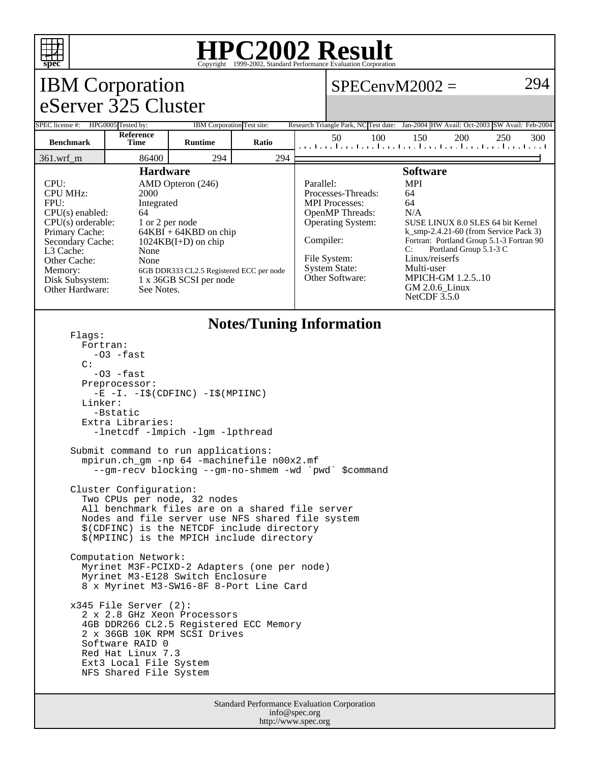

## **HPC2002 Result**

| spec<br>Copyright ©1999-2002, Standard Performance Evaluation Corporation                                                                                                                                                                                                                                                                                                                                                                                                                                                                                                                                                                                                                                                                                                                                                                                                                                                                                                                                  |                    |                                                                                                       |                            |  |                                                                                                                                                                                                                                                                                                                                                                                                                                                                                         |                                                                                      |     |
|------------------------------------------------------------------------------------------------------------------------------------------------------------------------------------------------------------------------------------------------------------------------------------------------------------------------------------------------------------------------------------------------------------------------------------------------------------------------------------------------------------------------------------------------------------------------------------------------------------------------------------------------------------------------------------------------------------------------------------------------------------------------------------------------------------------------------------------------------------------------------------------------------------------------------------------------------------------------------------------------------------|--------------------|-------------------------------------------------------------------------------------------------------|----------------------------|--|-----------------------------------------------------------------------------------------------------------------------------------------------------------------------------------------------------------------------------------------------------------------------------------------------------------------------------------------------------------------------------------------------------------------------------------------------------------------------------------------|--------------------------------------------------------------------------------------|-----|
| <b>IBM</b> Corporation                                                                                                                                                                                                                                                                                                                                                                                                                                                                                                                                                                                                                                                                                                                                                                                                                                                                                                                                                                                     |                    |                                                                                                       |                            |  | $SPECenvM2002 =$                                                                                                                                                                                                                                                                                                                                                                                                                                                                        |                                                                                      | 294 |
| eServer 325 Cluster                                                                                                                                                                                                                                                                                                                                                                                                                                                                                                                                                                                                                                                                                                                                                                                                                                                                                                                                                                                        |                    |                                                                                                       |                            |  |                                                                                                                                                                                                                                                                                                                                                                                                                                                                                         |                                                                                      |     |
| SPEC license #:                                                                                                                                                                                                                                                                                                                                                                                                                                                                                                                                                                                                                                                                                                                                                                                                                                                                                                                                                                                            | HPG0005 Tested by: |                                                                                                       | IBM Corporation Test site: |  |                                                                                                                                                                                                                                                                                                                                                                                                                                                                                         | Research Triangle Park, NC Test date: Jan-2004 HW Avail: Oct-2003 SW Avail: Feb-2004 |     |
| <b>Reference</b><br><b>Benchmark</b><br>Runtime<br>Ratio<br>Time                                                                                                                                                                                                                                                                                                                                                                                                                                                                                                                                                                                                                                                                                                                                                                                                                                                                                                                                           |                    | 50<br>100<br>150<br>200<br>250<br>300<br>المعما وعواريه والمعوار وبالمعوار وبالمعوا وعواريق المعواريق |                            |  |                                                                                                                                                                                                                                                                                                                                                                                                                                                                                         |                                                                                      |     |
| 361.wrf_m                                                                                                                                                                                                                                                                                                                                                                                                                                                                                                                                                                                                                                                                                                                                                                                                                                                                                                                                                                                                  | 86400              | 294                                                                                                   | 294                        |  |                                                                                                                                                                                                                                                                                                                                                                                                                                                                                         |                                                                                      |     |
| <b>Hardware</b><br>CPU:<br>AMD Opteron (246)<br><b>CPU MHz:</b><br>2000<br>FPU:<br>Integrated<br>$CPU(s)$ enabled:<br>64<br>$CPU(s)$ orderable:<br>1 or 2 per node<br>Primary Cache:<br>$64KBI + 64KBD$ on chip<br>$1024KB(I+D)$ on chip<br>Secondary Cache:<br>L3 Cache:<br>None<br>Other Cache:<br>None<br>Memory:<br>6GB DDR333 CL2.5 Registered ECC per node<br>Disk Subsystem:<br>1 x 36GB SCSI per node<br>Other Hardware:<br>See Notes.                                                                                                                                                                                                                                                                                                                                                                                                                                                                                                                                                             |                    |                                                                                                       |                            |  | <b>Software</b><br><b>MPI</b><br>Parallel:<br>Processes-Threads:<br>64<br><b>MPI</b> Processes:<br>64<br>OpenMP Threads:<br>N/A<br>Operating System:<br>SUSE LINUX 8.0 SLES 64 bit Kernel<br>$k$ _smp-2.4.21-60 (from Service Pack 3)<br>Compiler:<br>Fortran: Portland Group 5.1-3 Fortran 90<br>Portland Group 5.1-3 C<br>C:<br>Linux/reiserfs<br>File System:<br>Multi-user<br><b>System State:</b><br>Other Software:<br><b>MPICH-GM 1.2.5.10</b><br>GM 2.0.6_Linux<br>NetCDF 3.5.0 |                                                                                      |     |
| <b>Notes/Tuning Information</b><br>Flags:<br>Fortran:<br>$-03$ -fast<br>C:<br>$-03$ $-fast$<br>Preprocessor:<br>$-E$ $-I. -I\$ (CDFINC) $-I\$ (MPIINC)<br>Linker:<br>-Bstatic<br>Extra Libraries:<br>-lnetcdf -lmpich -lgm -lpthread<br>Submit command to run applications:<br>mpirun.ch_gm -np 64 -machinefile n00x2.mf<br>--gm-recv blocking --gm-no-shmem -wd `pwd` \$command<br>Cluster Configuration:<br>Two CPUs per node, 32 nodes<br>All benchmark files are on a shared file server<br>Nodes and file server use NFS shared file system<br>\$(CDFINC) is the NETCDF include directory<br>\$(MPIINC) is the MPICH include directory<br>Computation Network:<br>Myrinet M3F-PCIXD-2 Adapters (one per node)<br>Myrinet M3-E128 Switch Enclosure<br>8 x Myrinet M3-SW16-8F 8-Port Line Card<br>$x345$ File Server $(2)$ :<br>2 x 2.8 GHz Xeon Processors<br>4GB DDR266 CL2.5 Registered ECC Memory<br>2 x 36GB 10K RPM SCSI Drives<br>Software RAID 0<br>Red Hat Linux 7.3<br>Ext3 Local File System |                    |                                                                                                       |                            |  |                                                                                                                                                                                                                                                                                                                                                                                                                                                                                         |                                                                                      |     |

Standard Performance Evaluation Corporation info@spec.org http://www.spec.org

NFS Shared File System